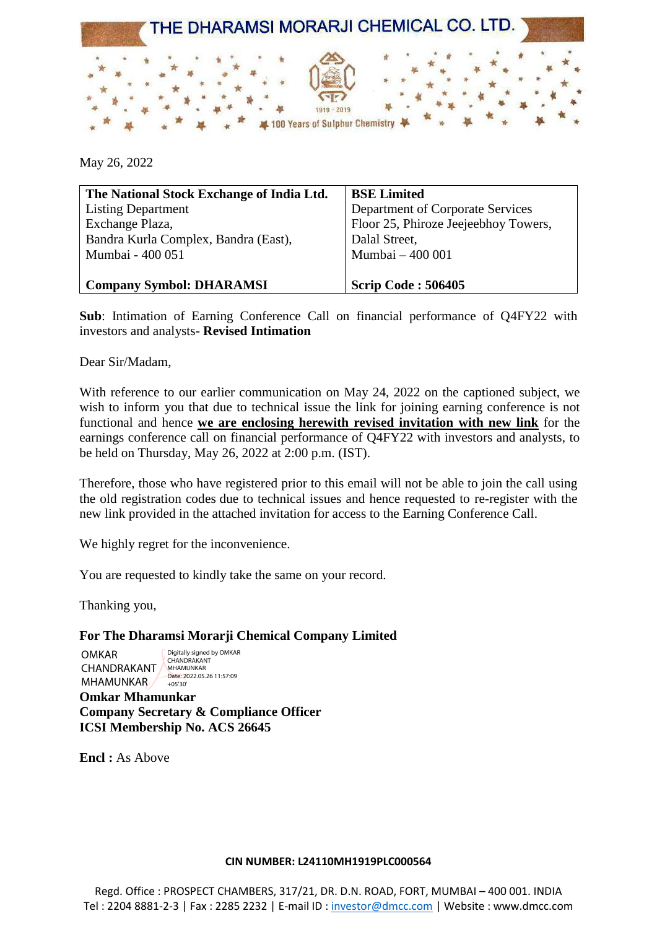

May 26, 2022

| The National Stock Exchange of India Ltd. | <b>BSE Limited</b>                   |
|-------------------------------------------|--------------------------------------|
| <b>Listing Department</b>                 | Department of Corporate Services     |
| Exchange Plaza,                           | Floor 25, Phiroze Jeejeebhoy Towers, |
| Bandra Kurla Complex, Bandra (East),      | Dalal Street,                        |
| Mumbai - 400 051                          | Mumbai - 400 001                     |
|                                           |                                      |
| <b>Company Symbol: DHARAMSI</b>           | <b>Scrip Code: 506405</b>            |

**Sub**: Intimation of Earning Conference Call on financial performance of Q4FY22 with investors and analysts- **Revised Intimation**

Dear Sir/Madam,

With reference to our earlier communication on May 24, 2022 on the captioned subject, we wish to inform you that due to technical issue the link for joining earning conference is not functional and hence **we are enclosing herewith revised invitation with new link** for the earnings conference call on financial performance of Q4FY22 with investors and analysts, to be held on Thursday, May 26, 2022 at 2:00 p.m. (IST).

Therefore, those who have registered prior to this email will not be able to join the call using the old registration codes due to technical issues and hence requested to re-register with the new link provided in the attached invitation for access to the Earning Conference Call.

We highly regret for the inconvenience.

You are requested to kindly take the same on your record.

Thanking you,

#### **For The Dharamsi Morarji Chemical Company Limited**

OMKAR CHANDRAKANT MHAMUNKAR  $+05'30'$ 

Digitally signed by OMKAR CHANDRAKANT MHAMUNKAR Date: 2022.05.26 11:57:09

**Omkar Mhamunkar Company Secretary & Compliance Officer ICSI Membership No. ACS 26645**

**Encl :** As Above

#### **CIN NUMBER: L24110MH1919PLC000564**